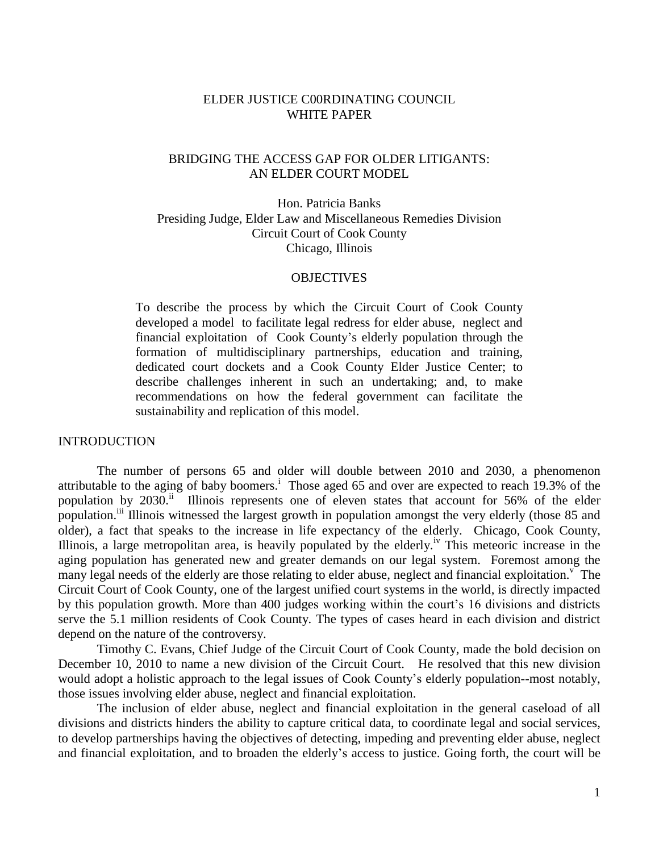## ELDER JUSTICE C00RDINATING COUNCIL WHITE PAPER

# BRIDGING THE ACCESS GAP FOR OLDER LITIGANTS: AN ELDER COURT MODEL

Hon. Patricia Banks Presiding Judge, Elder Law and Miscellaneous Remedies Division Circuit Court of Cook County Chicago, Illinois

### **OBJECTIVES**

To describe the process by which the Circuit Court of Cook County developed a model to facilitate legal redress for elder abuse, neglect and financial exploitation of Cook County's elderly population through the formation of multidisciplinary partnerships, education and training, dedicated court dockets and a Cook County Elder Justice Center; to describe challenges inherent in such an undertaking; and, to make recommendations on how the federal government can facilitate the sustainability and replication of this model.

### INTRODUCTION

The number of persons 65 and older will double between 2010 and 2030, a phenomenon attributable to the aging of baby boomers.<sup>i</sup> Those aged 65 and over are expected to reach 19.3% of the population by 2030.<sup>ii</sup> Illinois represents one of eleven states that account for 56% of the elder population.<sup>iii</sup> Illinois witnessed the largest growth in population amongst the very elderly (those 85 and older), a fact that speaks to the increase in life expectancy of the elderly. Chicago, Cook County, Illinois, a large metropolitan area, is heavily populated by the elderly.<sup>iv</sup> This meteoric increase in the aging population has generated new and greater demands on our legal system. Foremost among the many legal needs of the elderly are those relating to elder abuse, neglect and financial exploitation.<sup>V</sup> The Circuit Court of Cook County, one of the largest unified court systems in the world, is directly impacted by this population growth. More than 400 judges working within the court's 16 divisions and districts serve the 5.1 million residents of Cook County. The types of cases heard in each division and district depend on the nature of the controversy.

Timothy C. Evans, Chief Judge of the Circuit Court of Cook County, made the bold decision on December 10, 2010 to name a new division of the Circuit Court. He resolved that this new division would adopt a holistic approach to the legal issues of Cook County's elderly population--most notably, those issues involving elder abuse, neglect and financial exploitation.

The inclusion of elder abuse, neglect and financial exploitation in the general caseload of all divisions and districts hinders the ability to capture critical data, to coordinate legal and social services, to develop partnerships having the objectives of detecting, impeding and preventing elder abuse, neglect and financial exploitation, and to broaden the elderly's access to justice. Going forth, the court will be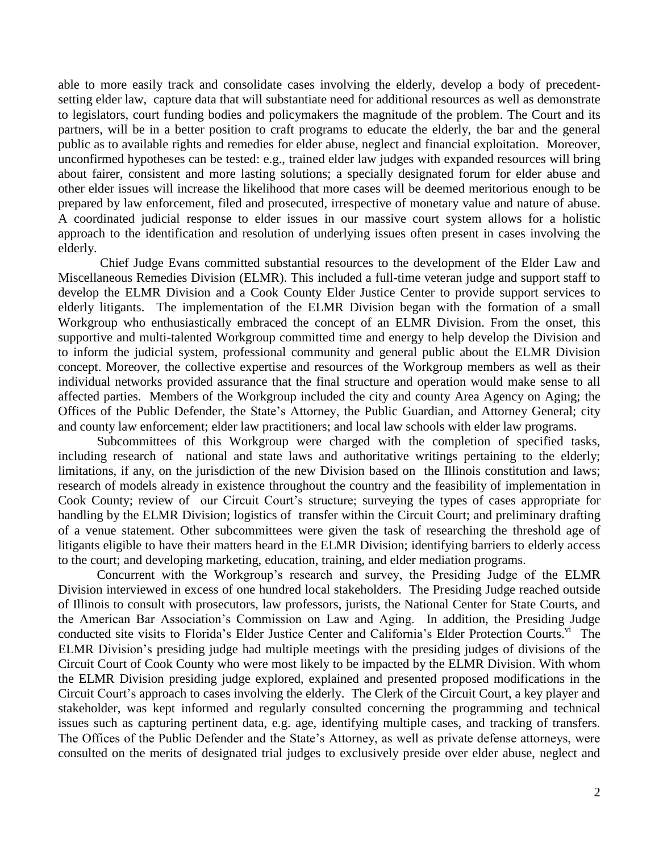able to more easily track and consolidate cases involving the elderly, develop a body of precedentsetting elder law, capture data that will substantiate need for additional resources as well as demonstrate to legislators, court funding bodies and policymakers the magnitude of the problem. The Court and its partners, will be in a better position to craft programs to educate the elderly, the bar and the general public as to available rights and remedies for elder abuse, neglect and financial exploitation. Moreover, unconfirmed hypotheses can be tested: e.g., trained elder law judges with expanded resources will bring about fairer, consistent and more lasting solutions; a specially designated forum for elder abuse and other elder issues will increase the likelihood that more cases will be deemed meritorious enough to be prepared by law enforcement, filed and prosecuted, irrespective of monetary value and nature of abuse. A coordinated judicial response to elder issues in our massive court system allows for a holistic approach to the identification and resolution of underlying issues often present in cases involving the elderly.

Chief Judge Evans committed substantial resources to the development of the Elder Law and Miscellaneous Remedies Division (ELMR). This included a full-time veteran judge and support staff to develop the ELMR Division and a Cook County Elder Justice Center to provide support services to elderly litigants. The implementation of the ELMR Division began with the formation of a small Workgroup who enthusiastically embraced the concept of an ELMR Division. From the onset, this supportive and multi-talented Workgroup committed time and energy to help develop the Division and to inform the judicial system, professional community and general public about the ELMR Division concept. Moreover, the collective expertise and resources of the Workgroup members as well as their individual networks provided assurance that the final structure and operation would make sense to all affected parties. Members of the Workgroup included the city and county Area Agency on Aging; the Offices of the Public Defender, the State's Attorney, the Public Guardian, and Attorney General; city and county law enforcement; elder law practitioners; and local law schools with elder law programs.

Subcommittees of this Workgroup were charged with the completion of specified tasks, including research of national and state laws and authoritative writings pertaining to the elderly; limitations, if any, on the jurisdiction of the new Division based on the Illinois constitution and laws; research of models already in existence throughout the country and the feasibility of implementation in Cook County; review of our Circuit Court's structure; surveying the types of cases appropriate for handling by the ELMR Division; logistics of transfer within the Circuit Court; and preliminary drafting of a venue statement. Other subcommittees were given the task of researching the threshold age of litigants eligible to have their matters heard in the ELMR Division; identifying barriers to elderly access to the court; and developing marketing, education, training, and elder mediation programs.

 Concurrent with the Workgroup's research and survey, the Presiding Judge of the ELMR Division interviewed in excess of one hundred local stakeholders. The Presiding Judge reached outside of Illinois to consult with prosecutors, law professors, jurists, the National Center for State Courts, and the American Bar Association's Commission on Law and Aging. In addition, the Presiding Judge conducted site visits to Florida's Elder Justice Center and California's Elder Protection Courts.<sup>vi</sup> The ELMR Division's presiding judge had multiple meetings with the presiding judges of divisions of the Circuit Court of Cook County who were most likely to be impacted by the ELMR Division. With whom the ELMR Division presiding judge explored, explained and presented proposed modifications in the Circuit Court's approach to cases involving the elderly. The Clerk of the Circuit Court, a key player and stakeholder, was kept informed and regularly consulted concerning the programming and technical issues such as capturing pertinent data, e.g. age, identifying multiple cases, and tracking of transfers. The Offices of the Public Defender and the State's Attorney, as well as private defense attorneys, were consulted on the merits of designated trial judges to exclusively preside over elder abuse, neglect and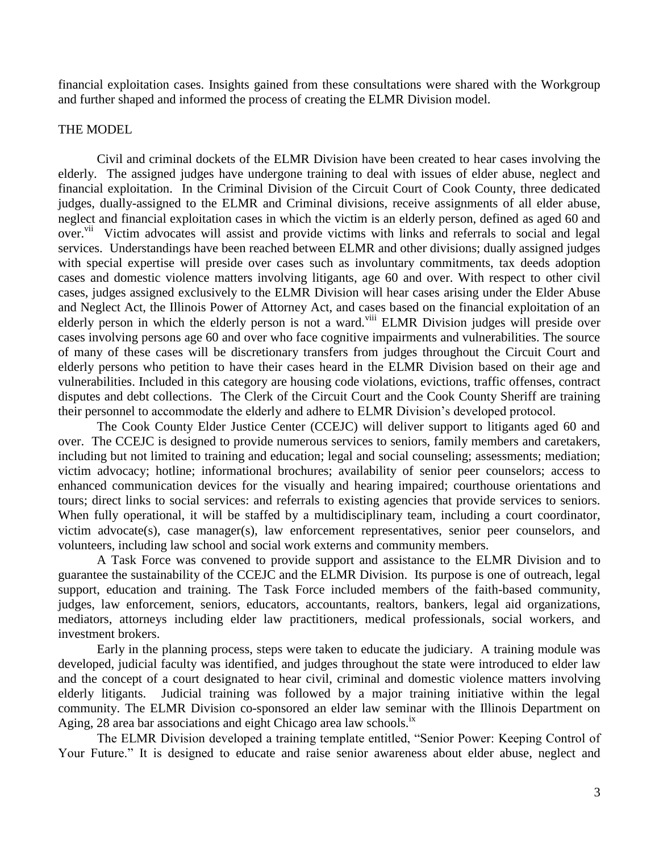financial exploitation cases. Insights gained from these consultations were shared with the Workgroup and further shaped and informed the process of creating the ELMR Division model.

### THE MODEL

Civil and criminal dockets of the ELMR Division have been created to hear cases involving the elderly. The assigned judges have undergone training to deal with issues of elder abuse, neglect and financial exploitation. In the Criminal Division of the Circuit Court of Cook County, three dedicated judges, dually-assigned to the ELMR and Criminal divisions, receive assignments of all elder abuse, neglect and financial exploitation cases in which the victim is an elderly person, defined as aged 60 and over.<sup>vii</sup> Victim advocates will assist and provide victims with links and referrals to social and legal services. Understandings have been reached between ELMR and other divisions; dually assigned judges with special expertise will preside over cases such as involuntary commitments, tax deeds adoption cases and domestic violence matters involving litigants, age 60 and over. With respect to other civil cases, judges assigned exclusively to the ELMR Division will hear cases arising under the Elder Abuse and Neglect Act, the Illinois Power of Attorney Act, and cases based on the financial exploitation of an elderly person in which the elderly person is not a ward.<sup>viii</sup> ELMR Division judges will preside over cases involving persons age 60 and over who face cognitive impairments and vulnerabilities. The source of many of these cases will be discretionary transfers from judges throughout the Circuit Court and elderly persons who petition to have their cases heard in the ELMR Division based on their age and vulnerabilities. Included in this category are housing code violations, evictions, traffic offenses, contract disputes and debt collections. The Clerk of the Circuit Court and the Cook County Sheriff are training their personnel to accommodate the elderly and adhere to ELMR Division's developed protocol.

The Cook County Elder Justice Center (CCEJC) will deliver support to litigants aged 60 and over. The CCEJC is designed to provide numerous services to seniors, family members and caretakers, including but not limited to training and education; legal and social counseling; assessments; mediation; victim advocacy; hotline; informational brochures; availability of senior peer counselors; access to enhanced communication devices for the visually and hearing impaired; courthouse orientations and tours; direct links to social services: and referrals to existing agencies that provide services to seniors. When fully operational, it will be staffed by a multidisciplinary team, including a court coordinator, victim advocate(s), case manager(s), law enforcement representatives, senior peer counselors, and volunteers, including law school and social work externs and community members.

A Task Force was convened to provide support and assistance to the ELMR Division and to guarantee the sustainability of the CCEJC and the ELMR Division. Its purpose is one of outreach, legal support, education and training. The Task Force included members of the faith-based community, judges, law enforcement, seniors, educators, accountants, realtors, bankers, legal aid organizations, mediators, attorneys including elder law practitioners, medical professionals, social workers, and investment brokers.

Early in the planning process, steps were taken to educate the judiciary. A training module was developed, judicial faculty was identified, and judges throughout the state were introduced to elder law and the concept of a court designated to hear civil, criminal and domestic violence matters involving elderly litigants. Judicial training was followed by a major training initiative within the legal community. The ELMR Division co-sponsored an elder law seminar with the Illinois Department on Aging, 28 area bar associations and eight Chicago area law schools.<sup>ix</sup>

The ELMR Division developed a training template entitled, "Senior Power: Keeping Control of Your Future." It is designed to educate and raise senior awareness about elder abuse, neglect and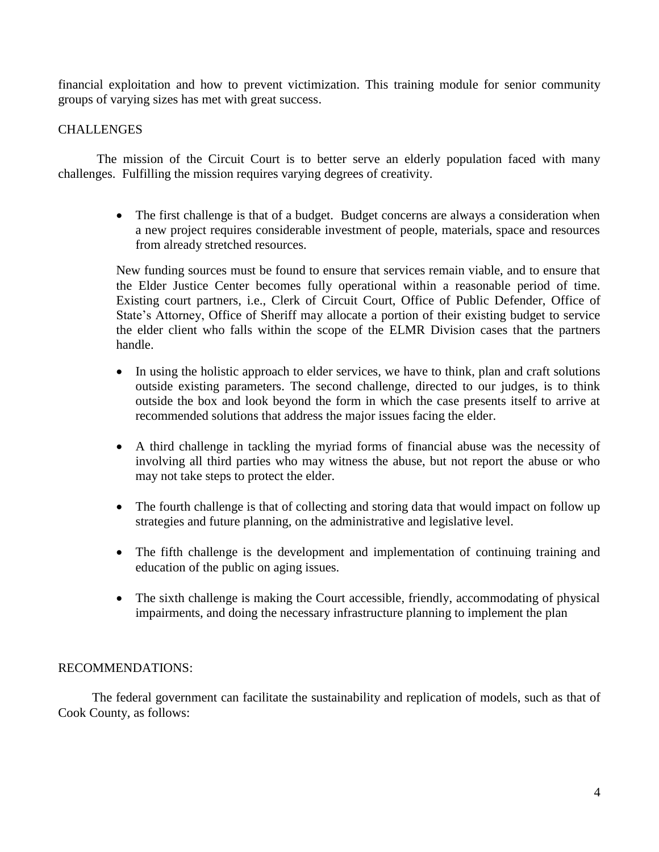financial exploitation and how to prevent victimization. This training module for senior community groups of varying sizes has met with great success.

# **CHALLENGES**

The mission of the Circuit Court is to better serve an elderly population faced with many challenges. Fulfilling the mission requires varying degrees of creativity.

> • The first challenge is that of a budget. Budget concerns are always a consideration when a new project requires considerable investment of people, materials, space and resources from already stretched resources.

> New funding sources must be found to ensure that services remain viable, and to ensure that the Elder Justice Center becomes fully operational within a reasonable period of time. Existing court partners, i.e., Clerk of Circuit Court, Office of Public Defender, Office of State's Attorney, Office of Sheriff may allocate a portion of their existing budget to service the elder client who falls within the scope of the ELMR Division cases that the partners handle.

- In using the holistic approach to elder services, we have to think, plan and craft solutions outside existing parameters. The second challenge, directed to our judges, is to think outside the box and look beyond the form in which the case presents itself to arrive at recommended solutions that address the major issues facing the elder.
- A third challenge in tackling the myriad forms of financial abuse was the necessity of involving all third parties who may witness the abuse, but not report the abuse or who may not take steps to protect the elder.
- The fourth challenge is that of collecting and storing data that would impact on follow up strategies and future planning, on the administrative and legislative level.
- The fifth challenge is the development and implementation of continuing training and education of the public on aging issues.
- The sixth challenge is making the Court accessible, friendly, accommodating of physical impairments, and doing the necessary infrastructure planning to implement the plan

# RECOMMENDATIONS:

The federal government can facilitate the sustainability and replication of models, such as that of Cook County, as follows: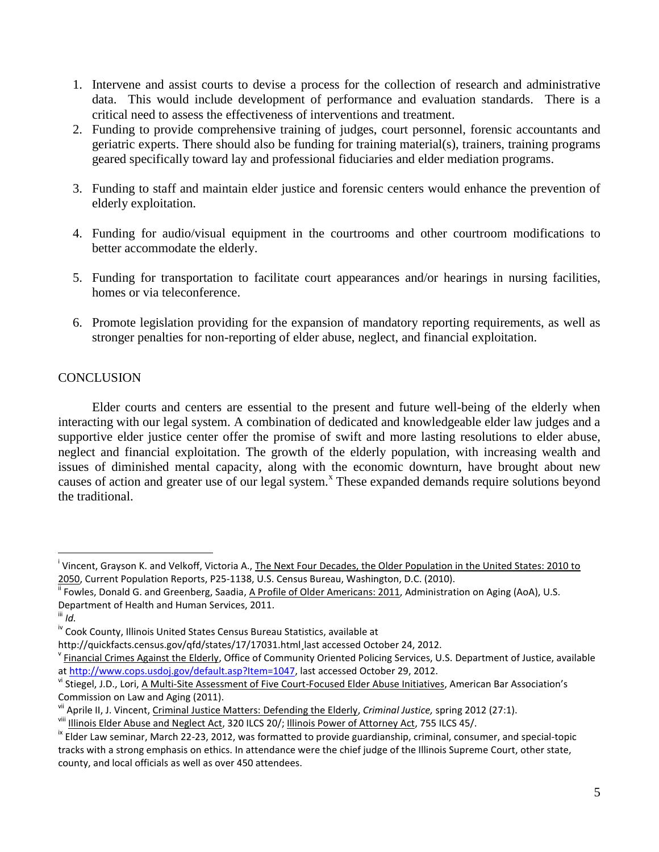- 1. Intervene and assist courts to devise a process for the collection of research and administrative data. This would include development of performance and evaluation standards. There is a critical need to assess the effectiveness of interventions and treatment.
- 2. Funding to provide comprehensive training of judges, court personnel, forensic accountants and geriatric experts. There should also be funding for training material(s), trainers, training programs geared specifically toward lay and professional fiduciaries and elder mediation programs.
- 3. Funding to staff and maintain elder justice and forensic centers would enhance the prevention of elderly exploitation.
- 4. Funding for audio/visual equipment in the courtrooms and other courtroom modifications to better accommodate the elderly.
- 5. Funding for transportation to facilitate court appearances and/or hearings in nursing facilities, homes or via teleconference.
- 6. Promote legislation providing for the expansion of mandatory reporting requirements, as well as stronger penalties for non-reporting of elder abuse, neglect, and financial exploitation.

# **CONCLUSION**

Elder courts and centers are essential to the present and future well-being of the elderly when interacting with our legal system. A combination of dedicated and knowledgeable elder law judges and a supportive elder justice center offer the promise of swift and more lasting resolutions to elder abuse, neglect and financial exploitation. The growth of the elderly population, with increasing wealth and issues of diminished mental capacity, along with the economic downturn, have brought about new causes of action and greater use of our legal system.<sup>x</sup> These expanded demands require solutions beyond the traditional.

 $\overline{a}$ 

<sup>&</sup>lt;sup>i</sup> Vincent, Grayson K. and Velkoff, Victoria A., <u>The Next Four Decades, the Older Population in the United States: 2010 to</u> 2050, Current Population Reports, P25-1138, U.S. Census Bureau, Washington, D.C. (2010).

<sup>&</sup>lt;sup>ii</sup> Fowles, Donald G. and Greenberg, Saadia, <u>A Profile of Older Americans: 2011</u>, Administration on Aging (AoA), U.S. Department of Health and Human Services, 2011.

iii *Id.* 

iv Cook County, Illinois United States Census Bureau Statistics, available at

http://quickfacts.census.gov/qfd/states/17/17031.html¸last accessed October 24, 2012.

<sup>&</sup>lt;sup>v</sup> Financial Crimes Against the Elderly, Office of Community Oriented Policing Services, U.S. Department of Justice, available a[t http://www.cops.usdoj.gov/default.asp?Item=1047,](http://www.cops.usdoj.gov/default.asp?Item=1047) last accessed October 29, 2012.

v<sup>i</sup> Stiegel, J.D., Lori, <u>A Multi-Site Assessment of Five Court-Focused Elder Abuse Initiatives</u>, American Bar Association's Commission on Law and Aging (2011).

vii Aprile II, J. Vincent, Criminal Justice Matters: Defending the Elderly, *Criminal Justice,* spring 2012 (27:1).

viii Illinois Elder Abuse and Neglect Act, 320 ILCS 20/; Illinois Power of Attorney Act, 755 ILCS 45/.

<sup>&</sup>lt;sup>ix</sup> Elder Law seminar, March 22-23, 2012, was formatted to provide guardianship, criminal, consumer, and special-topic tracks with a strong emphasis on ethics. In attendance were the chief judge of the Illinois Supreme Court, other state, county, and local officials as well as over 450 attendees.